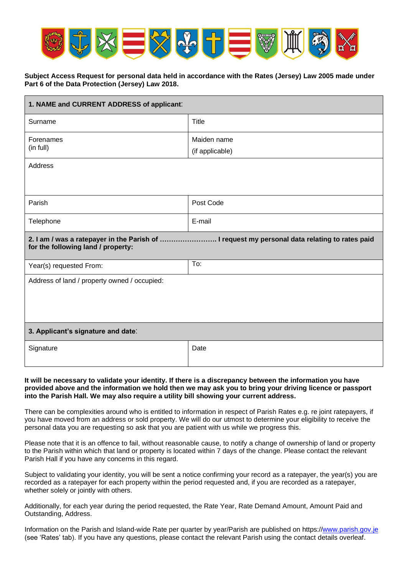

## **Subject Access Request for personal data held in accordance with the Rates (Jersey) Law 2005 made under Part 6 of the Data Protection (Jersey) Law 2018.**

| 1. NAME and CURRENT ADDRESS of applicant:                                                                                           |                                |  |
|-------------------------------------------------------------------------------------------------------------------------------------|--------------------------------|--|
| Surname                                                                                                                             | Title                          |  |
| Forenames<br>(in full)                                                                                                              | Maiden name<br>(if applicable) |  |
| Address                                                                                                                             |                                |  |
| Parish                                                                                                                              | Post Code                      |  |
| Telephone                                                                                                                           | E-mail                         |  |
| 2. I am / was a ratepayer in the Parish of  I request my personal data relating to rates paid<br>for the following land / property: |                                |  |
| Year(s) requested From:                                                                                                             | To:                            |  |
| Address of land / property owned / occupied:                                                                                        |                                |  |
| 3. Applicant's signature and date:                                                                                                  |                                |  |
| Signature                                                                                                                           | Date                           |  |

#### **It will be necessary to validate your identity. If there is a discrepancy between the information you have provided above and the information we hold then we may ask you to bring your driving licence or passport into the Parish Hall. We may also require a utility bill showing your current address.**

There can be complexities around who is entitled to information in respect of Parish Rates e.g. re joint ratepayers, if you have moved from an address or sold property. We will do our utmost to determine your eligibility to receive the personal data you are requesting so ask that you are patient with us while we progress this.

Please note that it is an offence to fail, without reasonable cause, to notify a change of ownership of land or property to the Parish within which that land or property is located within 7 days of the change. Please contact the relevant Parish Hall if you have any concerns in this regard.

Subject to validating your identity, you will be sent a notice confirming your record as a ratepayer, the year(s) you are recorded as a ratepayer for each property within the period requested and, if you are recorded as a ratepayer, whether solely or jointly with others.

Additionally, for each year during the period requested, the Rate Year, Rate Demand Amount, Amount Paid and Outstanding, Address.

Information on the Parish and Island-wide Rate per quarter by year/Parish are published on https:/[/www.parish.gov.je](http://www.parish.gov.je/) (see 'Rates' tab). If you have any questions, please contact the relevant Parish using the contact details overleaf.